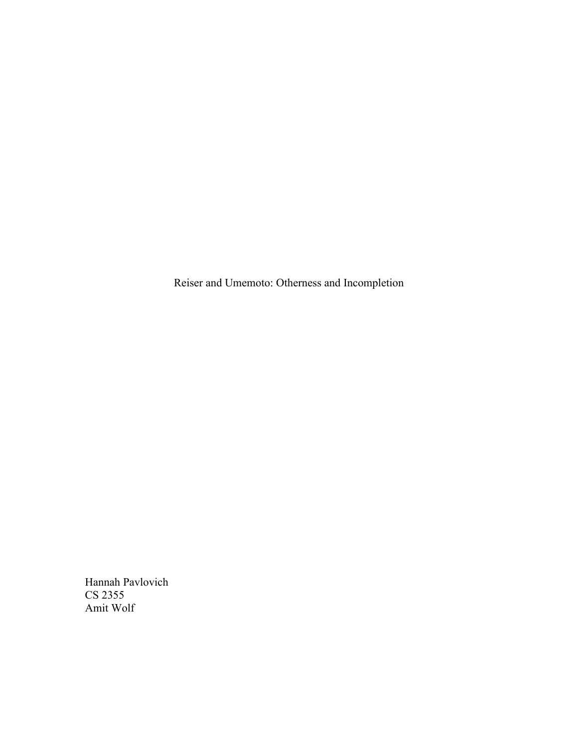Reiser and Umemoto: Otherness and Incompletion

Hannah Pavlovich CS 2355 Amit Wolf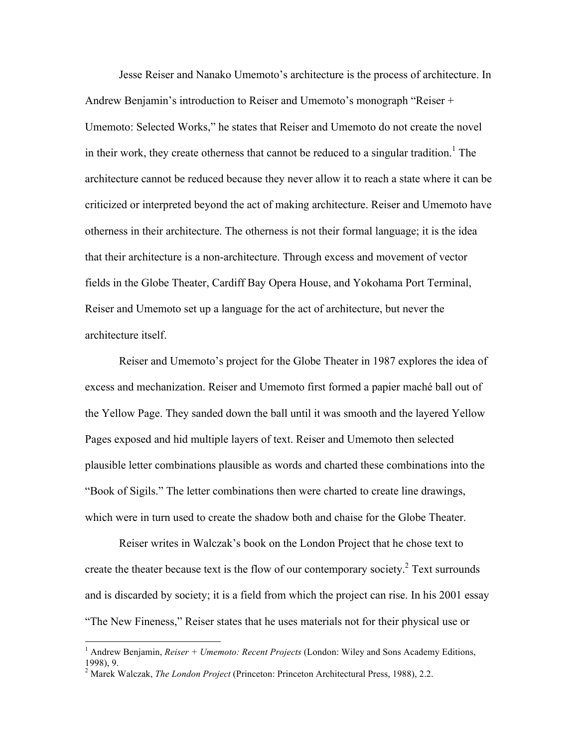Jesse Reiser and Nanako Umemoto's architecture is the process of architecture. In Andrew Benjamin's introduction to Reiser and Umemoto's monograph "Reiser + Umemoto: Selected Works," he states that Reiser and Umemoto do not create the novel in their work, they create otherness that cannot be reduced to a singular tradition.<sup>1</sup> The architecture cannot be reduced because they never allow it to reach a state where it can be criticized or interpreted beyond the act of making architecture. Reiser and Umemoto have otherness in their architecture. The otherness is not their formal language; it is the idea that their architecture is a non-architecture. Through excess and movement of vector fields in the Globe Theater, Cardiff Bay Opera House, and Yokohama Port Terminal, Reiser and Umemoto set up a language for the act of architecture, but never the architecture itself.

Reiser and Umemoto's project for the Globe Theater in 1987 explores the idea of excess and mechanization. Reiser and Umemoto first formed a papier maché ball out of the Yellow Page. They sanded down the ball until it was smooth and the layered Yellow Pages exposed and hid multiple layers of text. Reiser and Umemoto then selected plausible letter combinations plausible as words and charted these combinations into the "Book of Sigils." The letter combinations then were charted to create line drawings, which were in turn used to create the shadow both and chaise for the Globe Theater.

Reiser writes in Walczak's book on the London Project that he chose text to create the theater because text is the flow of our contemporary society.<sup>2</sup> Text surrounds and is discarded by society; it is a field from which the project can rise. In his 2001 essay "The New Fineness," Reiser states that he uses materials not for their physical use or

<sup>&</sup>lt;sup>1</sup> Andrew Benjamin, *Reiser + Umemoto: Recent Projects* (London: Wiley and Sons Academy Editions, 1998), 9.

<sup>2</sup> Marek Walczak, *The London Project* (Princeton: Princeton Architectural Press, 1988), 2.2.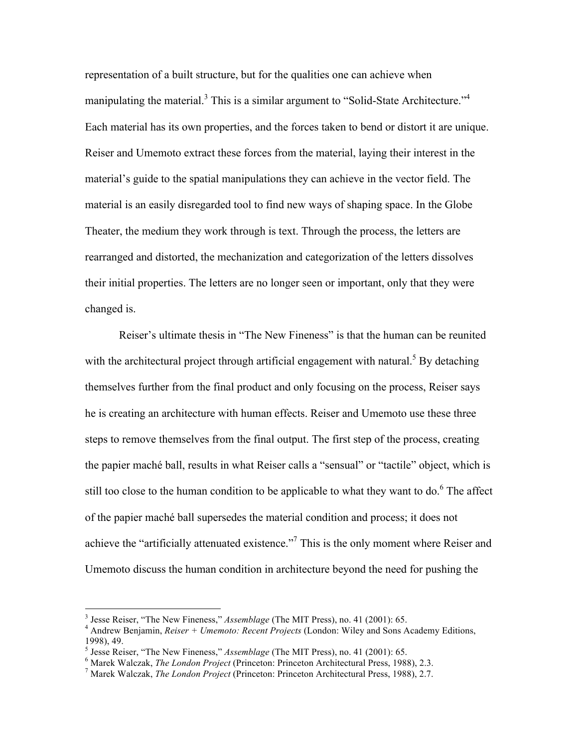representation of a built structure, but for the qualities one can achieve when manipulating the material.<sup>3</sup> This is a similar argument to "Solid-State Architecture."<sup>4</sup> Each material has its own properties, and the forces taken to bend or distort it are unique. Reiser and Umemoto extract these forces from the material, laying their interest in the material's guide to the spatial manipulations they can achieve in the vector field. The material is an easily disregarded tool to find new ways of shaping space. In the Globe Theater, the medium they work through is text. Through the process, the letters are rearranged and distorted, the mechanization and categorization of the letters dissolves their initial properties. The letters are no longer seen or important, only that they were changed is.

Reiser's ultimate thesis in "The New Fineness" is that the human can be reunited with the architectural project through artificial engagement with natural.<sup>5</sup> By detaching themselves further from the final product and only focusing on the process, Reiser says he is creating an architecture with human effects. Reiser and Umemoto use these three steps to remove themselves from the final output. The first step of the process, creating the papier maché ball, results in what Reiser calls a "sensual" or "tactile" object, which is still too close to the human condition to be applicable to what they want to do. $6$  The affect of the papier maché ball supersedes the material condition and process; it does not achieve the "artificially attenuated existence."<sup>7</sup> This is the only moment where Reiser and Umemoto discuss the human condition in architecture beyond the need for pushing the

<sup>&</sup>lt;sup>3</sup> Jesse Reiser, "The New Fineness," *Assemblage* (The MIT Press), no. 41 (2001): 65.<br><sup>4</sup> Andrew Benjamin, *Reiser + Umemoto: Recent Projects* (London: Wiley and Sons Academy Editions, 1998), 49.<br><sup>5</sup> Jesse Reiser, "The New Fineness," *Assemblage* (The MIT Press), no. 41 (2001): 65.

<sup>&</sup>lt;sup>6</sup> Marek Walczak, *The London Project* (Princeton: Princeton Architectural Press, 1988), 2.3.<br><sup>7</sup> Marek Walczak, *The London Project* (Princeton: Princeton Architectural Press, 1988), 2.7.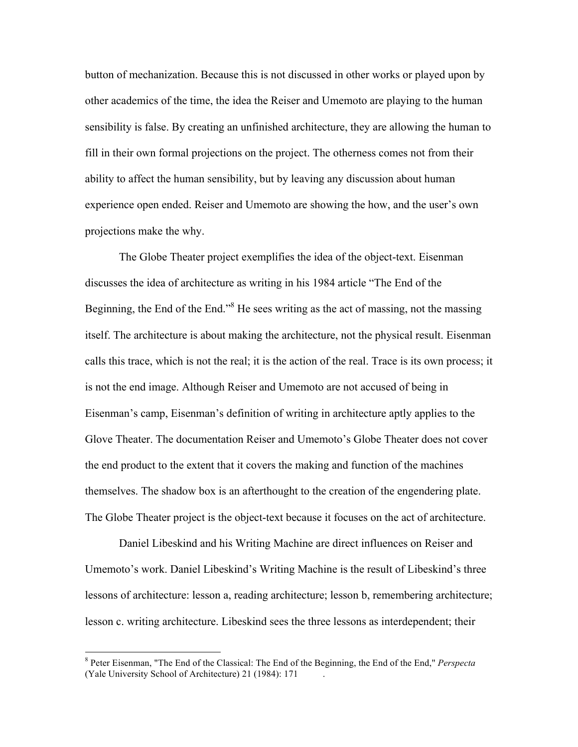button of mechanization. Because this is not discussed in other works or played upon by other academics of the time, the idea the Reiser and Umemoto are playing to the human sensibility is false. By creating an unfinished architecture, they are allowing the human to fill in their own formal projections on the project. The otherness comes not from their ability to affect the human sensibility, but by leaving any discussion about human experience open ended. Reiser and Umemoto are showing the how, and the user's own projections make the why.

The Globe Theater project exemplifies the idea of the object-text. Eisenman discusses the idea of architecture as writing in his 1984 article "The End of the Beginning, the End of the End." $8$  He sees writing as the act of massing, not the massing itself. The architecture is about making the architecture, not the physical result. Eisenman calls this trace, which is not the real; it is the action of the real. Trace is its own process; it is not the end image. Although Reiser and Umemoto are not accused of being in Eisenman's camp, Eisenman's definition of writing in architecture aptly applies to the Glove Theater. The documentation Reiser and Umemoto's Globe Theater does not cover the end product to the extent that it covers the making and function of the machines themselves. The shadow box is an afterthought to the creation of the engendering plate. The Globe Theater project is the object-text because it focuses on the act of architecture.

Daniel Libeskind and his Writing Machine are direct influences on Reiser and Umemoto's work. Daniel Libeskind's Writing Machine is the result of Libeskind's three lessons of architecture: lesson a, reading architecture; lesson b, remembering architecture; lesson c. writing architecture. Libeskind sees the three lessons as interdependent; their

 <sup>8</sup> Peter Eisenman, "The End of the Classical: The End of the Beginning, the End of the End," *Perspecta* (Yale University School of Architecture) 21 (1984): 171 .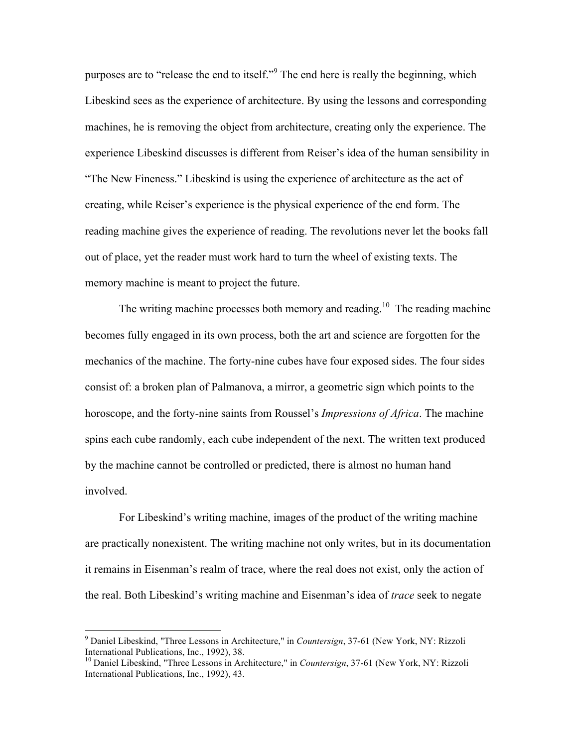purposes are to "release the end to itself."9 The end here is really the beginning, which Libeskind sees as the experience of architecture. By using the lessons and corresponding machines, he is removing the object from architecture, creating only the experience. The experience Libeskind discusses is different from Reiser's idea of the human sensibility in "The New Fineness." Libeskind is using the experience of architecture as the act of creating, while Reiser's experience is the physical experience of the end form. The reading machine gives the experience of reading. The revolutions never let the books fall out of place, yet the reader must work hard to turn the wheel of existing texts. The memory machine is meant to project the future.

The writing machine processes both memory and reading.<sup>10</sup> The reading machine becomes fully engaged in its own process, both the art and science are forgotten for the mechanics of the machine. The forty-nine cubes have four exposed sides. The four sides consist of: a broken plan of Palmanova, a mirror, a geometric sign which points to the horoscope, and the forty-nine saints from Roussel's *Impressions of Africa*. The machine spins each cube randomly, each cube independent of the next. The written text produced by the machine cannot be controlled or predicted, there is almost no human hand involved.

For Libeskind's writing machine, images of the product of the writing machine are practically nonexistent. The writing machine not only writes, but in its documentation it remains in Eisenman's realm of trace, where the real does not exist, only the action of the real. Both Libeskind's writing machine and Eisenman's idea of *trace* seek to negate

 <sup>9</sup> Daniel Libeskind, "Three Lessons in Architecture," in *Countersign*, 37-61 (New York, NY: Rizzoli International Publications, Inc., 1992), 38.

<sup>10</sup> Daniel Libeskind, "Three Lessons in Architecture," in *Countersign*, 37-61 (New York, NY: Rizzoli International Publications, Inc., 1992), 43.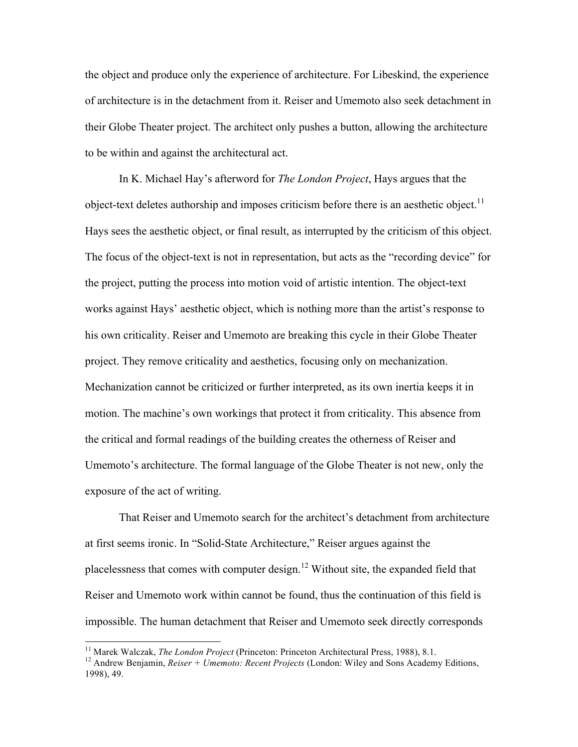the object and produce only the experience of architecture. For Libeskind, the experience of architecture is in the detachment from it. Reiser and Umemoto also seek detachment in their Globe Theater project. The architect only pushes a button, allowing the architecture to be within and against the architectural act.

In K. Michael Hay's afterword for *The London Project*, Hays argues that the object-text deletes authorship and imposes criticism before there is an aesthetic object.<sup>11</sup> Hays sees the aesthetic object, or final result, as interrupted by the criticism of this object. The focus of the object-text is not in representation, but acts as the "recording device" for the project, putting the process into motion void of artistic intention. The object-text works against Hays' aesthetic object, which is nothing more than the artist's response to his own criticality. Reiser and Umemoto are breaking this cycle in their Globe Theater project. They remove criticality and aesthetics, focusing only on mechanization. Mechanization cannot be criticized or further interpreted, as its own inertia keeps it in motion. The machine's own workings that protect it from criticality. This absence from the critical and formal readings of the building creates the otherness of Reiser and Umemoto's architecture. The formal language of the Globe Theater is not new, only the exposure of the act of writing.

That Reiser and Umemoto search for the architect's detachment from architecture at first seems ironic. In "Solid-State Architecture," Reiser argues against the placelessness that comes with computer design.12 Without site, the expanded field that Reiser and Umemoto work within cannot be found, thus the continuation of this field is impossible. The human detachment that Reiser and Umemoto seek directly corresponds

<sup>&</sup>lt;sup>11</sup> Marek Walczak, *The London Project* (Princeton: Princeton Architectural Press, 1988), 8.1.<br><sup>12</sup> Andrew Benjamin, *Reiser + Umemoto: Recent Projects* (London: Wiley and Sons Academy Editions, 1998), 49.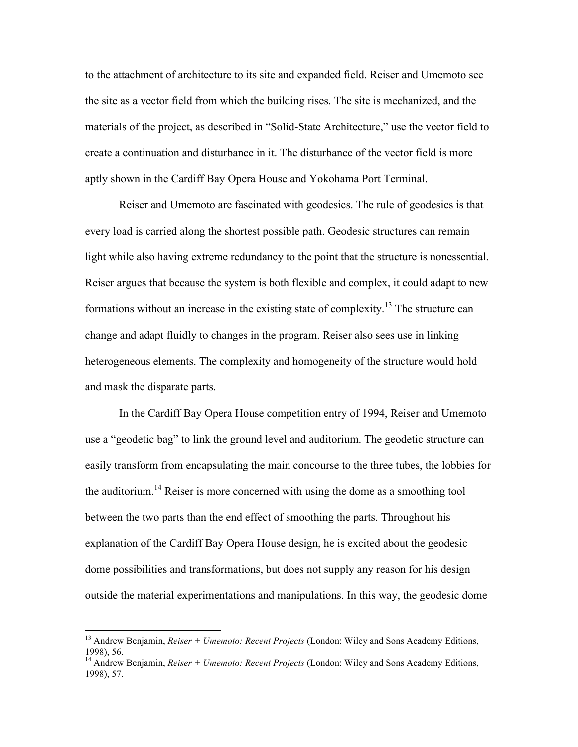to the attachment of architecture to its site and expanded field. Reiser and Umemoto see the site as a vector field from which the building rises. The site is mechanized, and the materials of the project, as described in "Solid-State Architecture," use the vector field to create a continuation and disturbance in it. The disturbance of the vector field is more aptly shown in the Cardiff Bay Opera House and Yokohama Port Terminal.

Reiser and Umemoto are fascinated with geodesics. The rule of geodesics is that every load is carried along the shortest possible path. Geodesic structures can remain light while also having extreme redundancy to the point that the structure is nonessential. Reiser argues that because the system is both flexible and complex, it could adapt to new formations without an increase in the existing state of complexity.<sup>13</sup> The structure can change and adapt fluidly to changes in the program. Reiser also sees use in linking heterogeneous elements. The complexity and homogeneity of the structure would hold and mask the disparate parts.

In the Cardiff Bay Opera House competition entry of 1994, Reiser and Umemoto use a "geodetic bag" to link the ground level and auditorium. The geodetic structure can easily transform from encapsulating the main concourse to the three tubes, the lobbies for the auditorium.<sup>14</sup> Reiser is more concerned with using the dome as a smoothing tool between the two parts than the end effect of smoothing the parts. Throughout his explanation of the Cardiff Bay Opera House design, he is excited about the geodesic dome possibilities and transformations, but does not supply any reason for his design outside the material experimentations and manipulations. In this way, the geodesic dome

 <sup>13</sup> Andrew Benjamin, *Reiser + Umemoto: Recent Projects* (London: Wiley and Sons Academy Editions, 1998), 56. <sup>14</sup> Andrew Benjamin, *Reiser + Umemoto: Recent Projects* (London: Wiley and Sons Academy Editions,

<sup>1998), 57.</sup>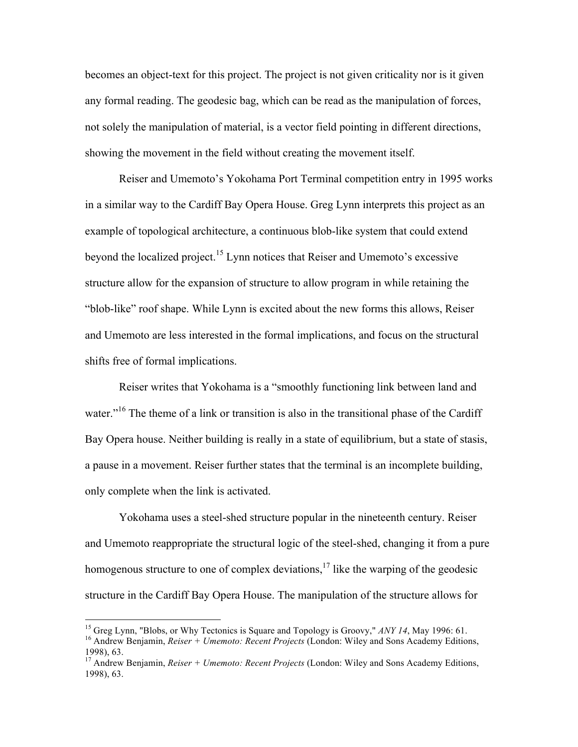becomes an object-text for this project. The project is not given criticality nor is it given any formal reading. The geodesic bag, which can be read as the manipulation of forces, not solely the manipulation of material, is a vector field pointing in different directions, showing the movement in the field without creating the movement itself.

Reiser and Umemoto's Yokohama Port Terminal competition entry in 1995 works in a similar way to the Cardiff Bay Opera House. Greg Lynn interprets this project as an example of topological architecture, a continuous blob-like system that could extend beyond the localized project.<sup>15</sup> Lynn notices that Reiser and Umemoto's excessive structure allow for the expansion of structure to allow program in while retaining the "blob-like" roof shape. While Lynn is excited about the new forms this allows, Reiser and Umemoto are less interested in the formal implications, and focus on the structural shifts free of formal implications.

Reiser writes that Yokohama is a "smoothly functioning link between land and water."<sup>16</sup> The theme of a link or transition is also in the transitional phase of the Cardiff Bay Opera house. Neither building is really in a state of equilibrium, but a state of stasis, a pause in a movement. Reiser further states that the terminal is an incomplete building, only complete when the link is activated.

Yokohama uses a steel-shed structure popular in the nineteenth century. Reiser and Umemoto reappropriate the structural logic of the steel-shed, changing it from a pure homogenous structure to one of complex deviations,  $\frac{17}{11}$  like the warping of the geodesic structure in the Cardiff Bay Opera House. The manipulation of the structure allows for

<sup>&</sup>lt;sup>15</sup> Greg Lynn, "Blobs, or Why Tectonics is Square and Topology is Groovy," *ANY 14*, May 1996: 61.<br><sup>16</sup> Andrew Benjamin, *Reiser + Umemoto: Recent Projects* (London: Wiley and Sons Academy Editions,

<sup>1998), 63.</sup> <sup>17</sup> Andrew Benjamin, *Reiser + Umemoto: Recent Projects* (London: Wiley and Sons Academy Editions,

<sup>1998), 63.</sup>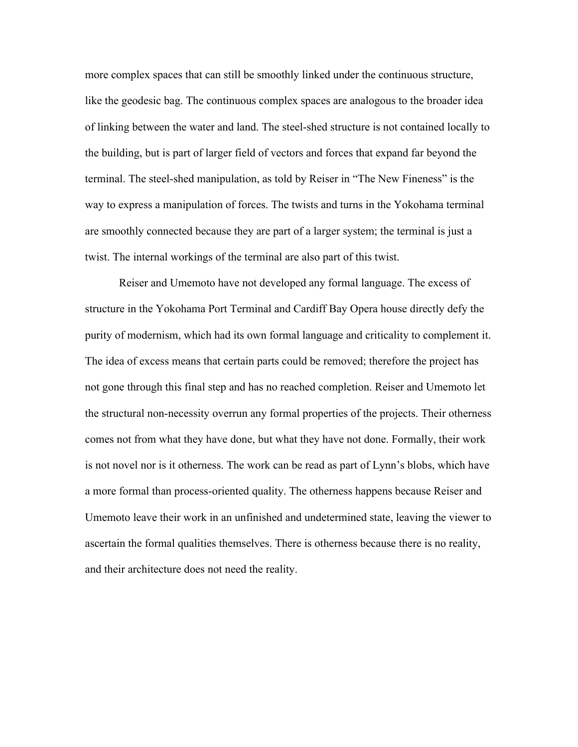more complex spaces that can still be smoothly linked under the continuous structure, like the geodesic bag. The continuous complex spaces are analogous to the broader idea of linking between the water and land. The steel-shed structure is not contained locally to the building, but is part of larger field of vectors and forces that expand far beyond the terminal. The steel-shed manipulation, as told by Reiser in "The New Fineness" is the way to express a manipulation of forces. The twists and turns in the Yokohama terminal are smoothly connected because they are part of a larger system; the terminal is just a twist. The internal workings of the terminal are also part of this twist.

Reiser and Umemoto have not developed any formal language. The excess of structure in the Yokohama Port Terminal and Cardiff Bay Opera house directly defy the purity of modernism, which had its own formal language and criticality to complement it. The idea of excess means that certain parts could be removed; therefore the project has not gone through this final step and has no reached completion. Reiser and Umemoto let the structural non-necessity overrun any formal properties of the projects. Their otherness comes not from what they have done, but what they have not done. Formally, their work is not novel nor is it otherness. The work can be read as part of Lynn's blobs, which have a more formal than process-oriented quality. The otherness happens because Reiser and Umemoto leave their work in an unfinished and undetermined state, leaving the viewer to ascertain the formal qualities themselves. There is otherness because there is no reality, and their architecture does not need the reality.